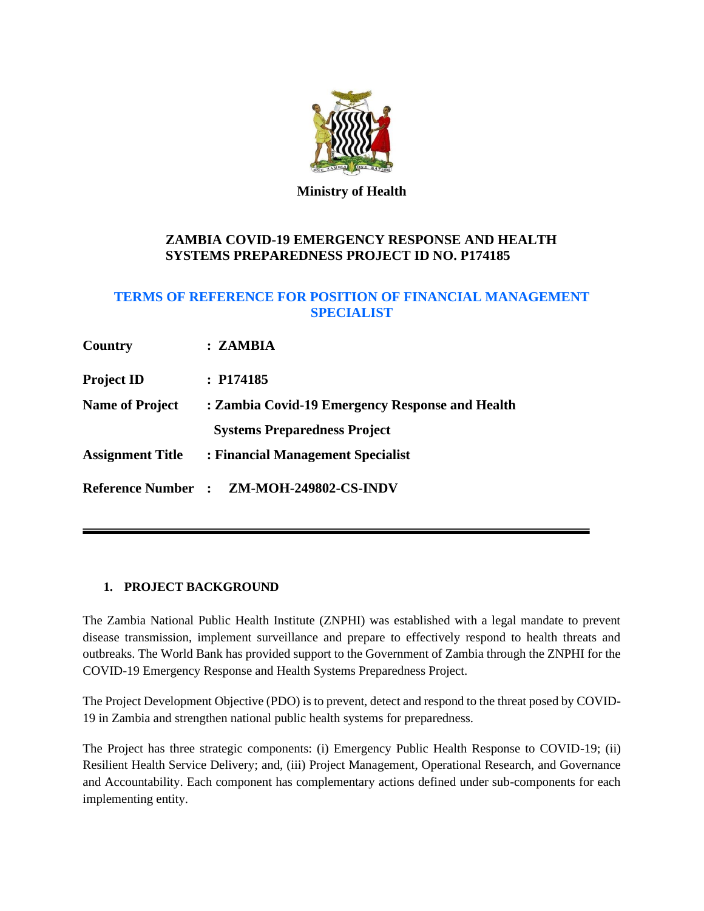

**Ministry of Health**

# **ZAMBIA COVID-19 EMERGENCY RESPONSE AND HEALTH SYSTEMS PREPAREDNESS PROJECT ID NO. P174185**

# **TERMS OF REFERENCE FOR POSITION OF FINANCIAL MANAGEMENT SPECIALIST**

| Country                 | : ZAMBIA                                        |
|-------------------------|-------------------------------------------------|
| <b>Project ID</b>       | : P174185                                       |
| <b>Name of Project</b>  | : Zambia Covid-19 Emergency Response and Health |
|                         | <b>Systems Preparedness Project</b>             |
| <b>Assignment Title</b> | : Financial Management Specialist               |
| <b>Reference Number</b> | $\colon$ ZM-MOH-249802-CS-INDV                  |

# **1. PROJECT BACKGROUND**

The Zambia National Public Health Institute (ZNPHI) was established with a legal mandate to prevent disease transmission, implement surveillance and prepare to effectively respond to health threats and outbreaks. The World Bank has provided support to the Government of Zambia through the ZNPHI for the COVID-19 Emergency Response and Health Systems Preparedness Project.

The Project Development Objective (PDO) is to prevent, detect and respond to the threat posed by COVID-19 in Zambia and strengthen national public health systems for preparedness.

The Project has three strategic components: (i) Emergency Public Health Response to COVID-19; (ii) Resilient Health Service Delivery; and, (iii) Project Management, Operational Research, and Governance and Accountability. Each component has complementary actions defined under sub-components for each implementing entity.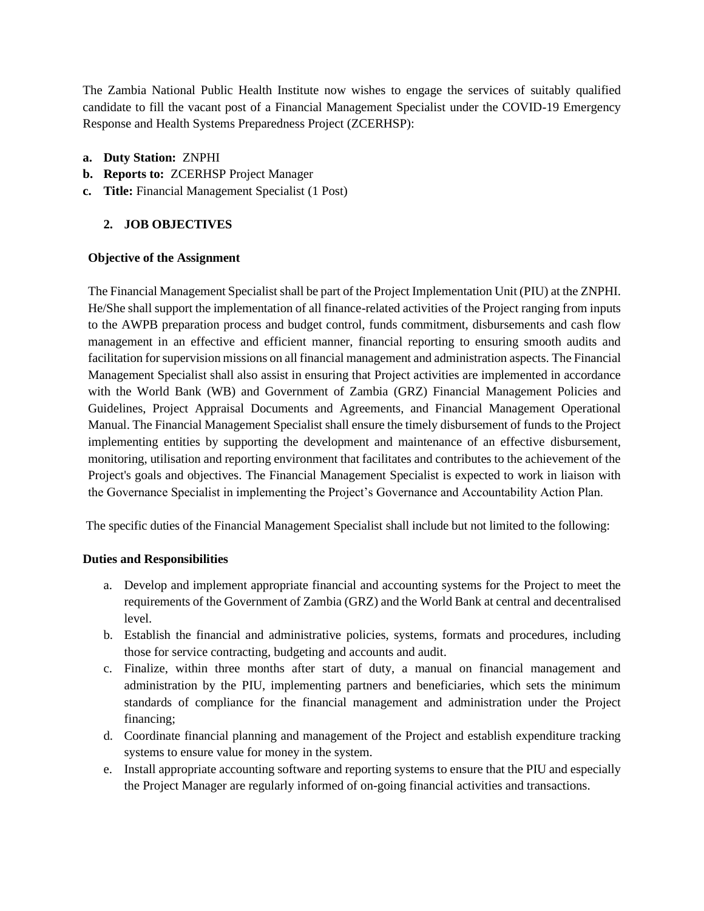The Zambia National Public Health Institute now wishes to engage the services of suitably qualified candidate to fill the vacant post of a Financial Management Specialist under the COVID-19 Emergency Response and Health Systems Preparedness Project (ZCERHSP):

- **a. Duty Station:** ZNPHI
- **b. Reports to:** ZCERHSP Project Manager
- **c. Title:** Financial Management Specialist (1 Post)

## **2. JOB OBJECTIVES**

#### **Objective of the Assignment**

The Financial Management Specialist shall be part of the Project Implementation Unit (PIU) at the ZNPHI. He/She shall support the implementation of all finance-related activities of the Project ranging from inputs to the AWPB preparation process and budget control, funds commitment, disbursements and cash flow management in an effective and efficient manner, financial reporting to ensuring smooth audits and facilitation for supervision missions on all financial management and administration aspects. The Financial Management Specialist shall also assist in ensuring that Project activities are implemented in accordance with the World Bank (WB) and Government of Zambia (GRZ) Financial Management Policies and Guidelines, Project Appraisal Documents and Agreements, and Financial Management Operational Manual. The Financial Management Specialist shall ensure the timely disbursement of funds to the Project implementing entities by supporting the development and maintenance of an effective disbursement, monitoring, utilisation and reporting environment that facilitates and contributes to the achievement of the Project's goals and objectives. The Financial Management Specialist is expected to work in liaison with the Governance Specialist in implementing the Project's Governance and Accountability Action Plan.

The specific duties of the Financial Management Specialist shall include but not limited to the following:

#### **Duties and Responsibilities**

- a. Develop and implement appropriate financial and accounting systems for the Project to meet the requirements of the Government of Zambia (GRZ) and the World Bank at central and decentralised level.
- b. Establish the financial and administrative policies, systems, formats and procedures, including those for service contracting, budgeting and accounts and audit.
- c. Finalize, within three months after start of duty, a manual on financial management and administration by the PIU, implementing partners and beneficiaries, which sets the minimum standards of compliance for the financial management and administration under the Project financing;
- d. Coordinate financial planning and management of the Project and establish expenditure tracking systems to ensure value for money in the system.
- e. Install appropriate accounting software and reporting systems to ensure that the PIU and especially the Project Manager are regularly informed of on-going financial activities and transactions.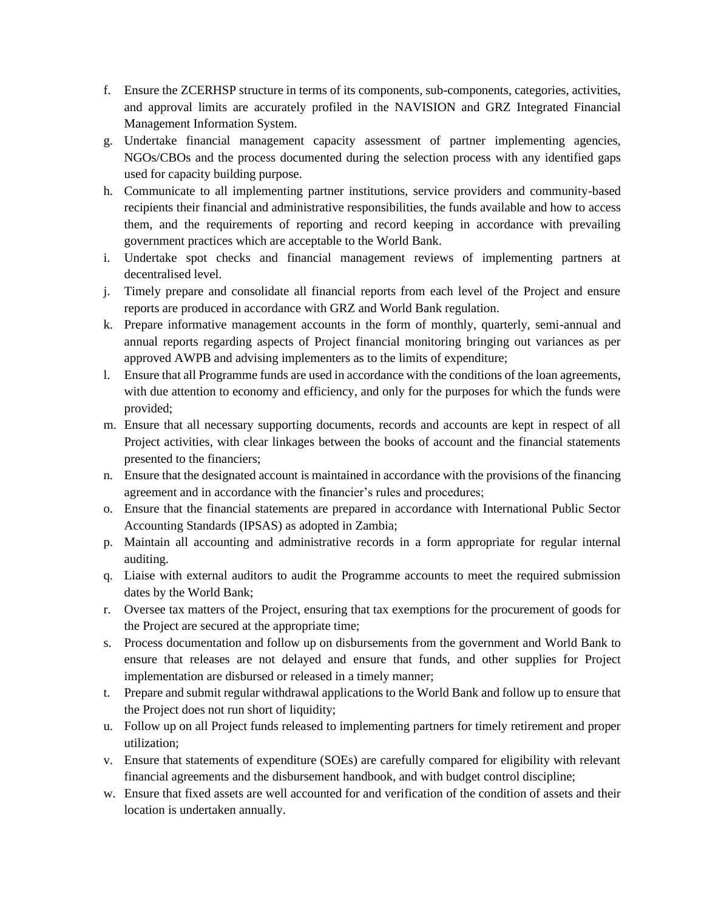- f. Ensure the ZCERHSP structure in terms of its components, sub-components, categories, activities, and approval limits are accurately profiled in the NAVISION and GRZ Integrated Financial Management Information System.
- g. Undertake financial management capacity assessment of partner implementing agencies, NGOs/CBOs and the process documented during the selection process with any identified gaps used for capacity building purpose.
- h. Communicate to all implementing partner institutions, service providers and community-based recipients their financial and administrative responsibilities, the funds available and how to access them, and the requirements of reporting and record keeping in accordance with prevailing government practices which are acceptable to the World Bank.
- i. Undertake spot checks and financial management reviews of implementing partners at decentralised level.
- j. Timely prepare and consolidate all financial reports from each level of the Project and ensure reports are produced in accordance with GRZ and World Bank regulation.
- k. Prepare informative management accounts in the form of monthly, quarterly, semi-annual and annual reports regarding aspects of Project financial monitoring bringing out variances as per approved AWPB and advising implementers as to the limits of expenditure;
- l. Ensure that all Programme funds are used in accordance with the conditions of the loan agreements, with due attention to economy and efficiency, and only for the purposes for which the funds were provided;
- m. Ensure that all necessary supporting documents, records and accounts are kept in respect of all Project activities, with clear linkages between the books of account and the financial statements presented to the financiers;
- n. Ensure that the designated account is maintained in accordance with the provisions of the financing agreement and in accordance with the financier's rules and procedures;
- o. Ensure that the financial statements are prepared in accordance with International Public Sector Accounting Standards (IPSAS) as adopted in Zambia;
- p. Maintain all accounting and administrative records in a form appropriate for regular internal auditing.
- q. Liaise with external auditors to audit the Programme accounts to meet the required submission dates by the World Bank;
- r. Oversee tax matters of the Project, ensuring that tax exemptions for the procurement of goods for the Project are secured at the appropriate time;
- s. Process documentation and follow up on disbursements from the government and World Bank to ensure that releases are not delayed and ensure that funds, and other supplies for Project implementation are disbursed or released in a timely manner;
- t. Prepare and submit regular withdrawal applications to the World Bank and follow up to ensure that the Project does not run short of liquidity;
- u. Follow up on all Project funds released to implementing partners for timely retirement and proper utilization;
- v. Ensure that statements of expenditure (SOEs) are carefully compared for eligibility with relevant financial agreements and the disbursement handbook, and with budget control discipline;
- w. Ensure that fixed assets are well accounted for and verification of the condition of assets and their location is undertaken annually.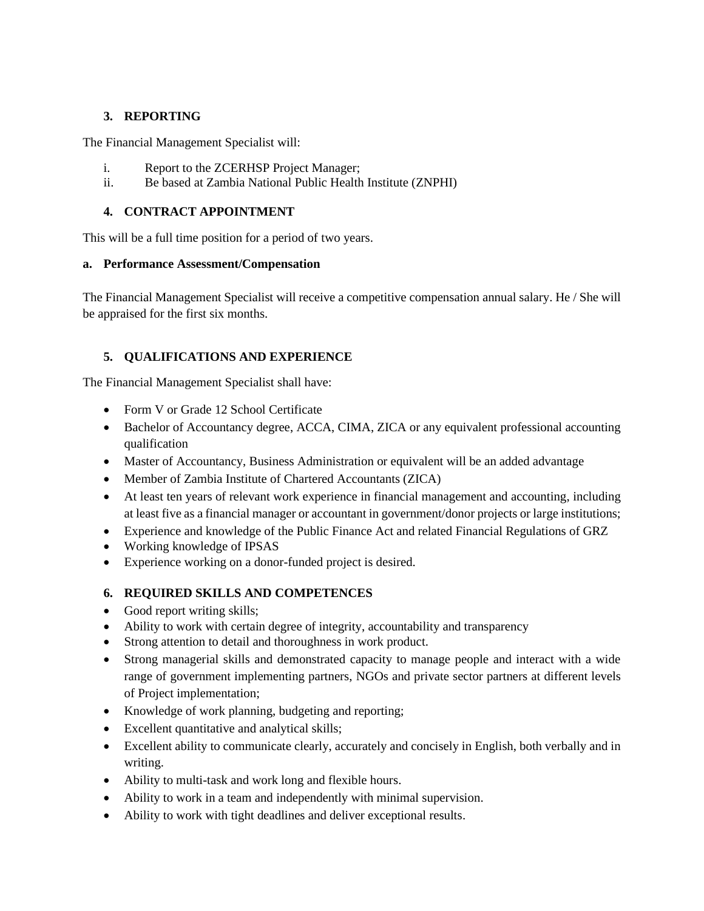# **3. REPORTING**

The Financial Management Specialist will:

- i. Report to the ZCERHSP Project Manager;
- ii. Be based at Zambia National Public Health Institute (ZNPHI)

## **4. CONTRACT APPOINTMENT**

This will be a full time position for a period of two years.

### **a. Performance Assessment/Compensation**

The Financial Management Specialist will receive a competitive compensation annual salary. He / She will be appraised for the first six months.

## **5. QUALIFICATIONS AND EXPERIENCE**

The Financial Management Specialist shall have:

- Form V or Grade 12 School Certificate
- Bachelor of Accountancy degree, ACCA, CIMA, ZICA or any equivalent professional accounting qualification
- Master of Accountancy, Business Administration or equivalent will be an added advantage
- Member of Zambia Institute of Chartered Accountants (ZICA)
- At least ten years of relevant work experience in financial management and accounting, including at least five as a financial manager or accountant in government/donor projects or large institutions;
- Experience and knowledge of the Public Finance Act and related Financial Regulations of GRZ
- Working knowledge of IPSAS
- Experience working on a donor-funded project is desired.

## **6. REQUIRED SKILLS AND COMPETENCES**

- Good report writing skills;
- Ability to work with certain degree of integrity, accountability and transparency
- Strong attention to detail and thoroughness in work product.
- Strong managerial skills and demonstrated capacity to manage people and interact with a wide range of government implementing partners, NGOs and private sector partners at different levels of Project implementation;
- Knowledge of work planning, budgeting and reporting;
- Excellent quantitative and analytical skills;
- Excellent ability to communicate clearly, accurately and concisely in English, both verbally and in writing.
- Ability to multi-task and work long and flexible hours.
- Ability to work in a team and independently with minimal supervision.
- Ability to work with tight deadlines and deliver exceptional results.